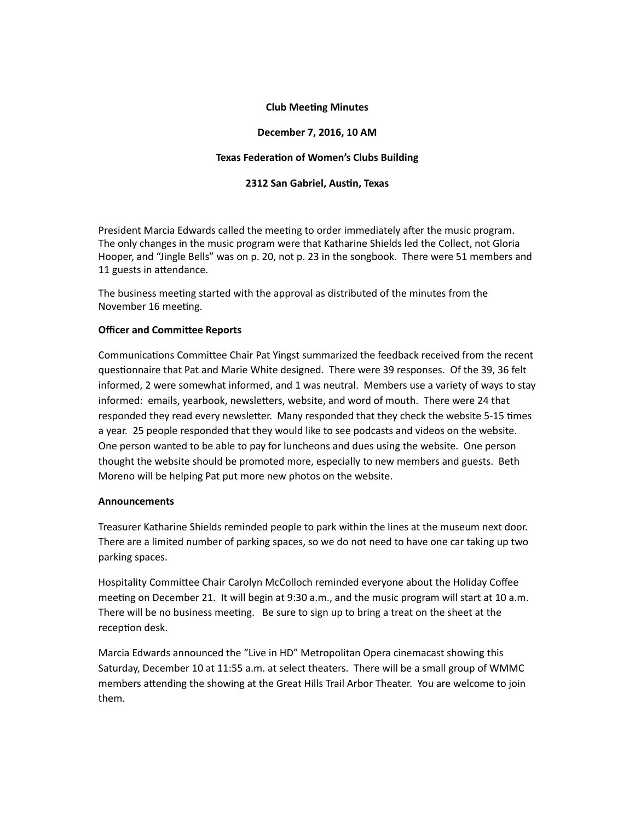### **Club Meeting Minutes**

# **December 7, 2016, 10 AM**

## **Texas Federation of Women's Clubs Building**

# **2312 San Gabriel, Austin, Texas**

President Marcia Edwards called the meeting to order immediately after the music program. The only changes in the music program were that Katharine Shields led the Collect, not Gloria Hooper, and "Jingle Bells" was on p. 20, not p. 23 in the songbook. There were 51 members and 11 guests in attendance.

The business meeting started with the approval as distributed of the minutes from the November 16 meeting.

### **Officer and Committee Reports**

Communications Committee Chair Pat Yingst summarized the feedback received from the recent questionnaire that Pat and Marie White designed. There were 39 responses. Of the 39, 36 felt informed, 2 were somewhat informed, and 1 was neutral. Members use a variety of ways to stay informed: emails, yearbook, newsletters, website, and word of mouth. There were 24 that responded they read every newsletter. Many responded that they check the website 5-15 times a year. 25 people responded that they would like to see podcasts and videos on the website. One person wanted to be able to pay for luncheons and dues using the website. One person thought the website should be promoted more, especially to new members and guests. Beth Moreno will be helping Pat put more new photos on the website.

### **Announcements**

Treasurer Katharine Shields reminded people to park within the lines at the museum next door. There are a limited number of parking spaces, so we do not need to have one car taking up two parking spaces.

Hospitality Committee Chair Carolyn McColloch reminded everyone about the Holiday Coffee meeting on December 21. It will begin at 9:30 a.m., and the music program will start at 10 a.m. There will be no business meeting. Be sure to sign up to bring a treat on the sheet at the reception desk.

Marcia Edwards announced the "Live in HD" Metropolitan Opera cinemacast showing this Saturday, December 10 at 11:55 a.m. at select theaters. There will be a small group of WMMC members attending the showing at the Great Hills Trail Arbor Theater. You are welcome to join them.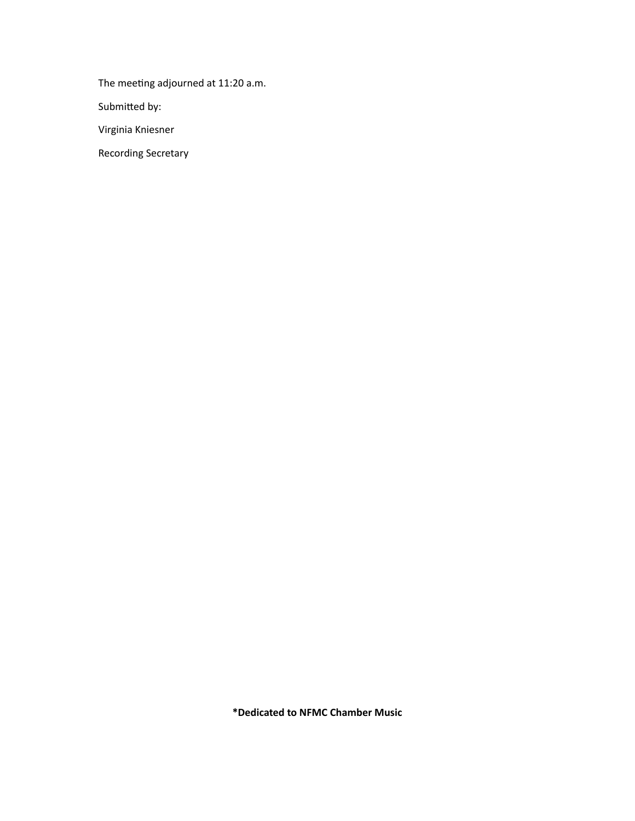The meeting adjourned at 11:20 a.m.

Submitted by:

Virginia Kniesner

**Recording Secretary** 

\*Dedicated to NFMC Chamber Music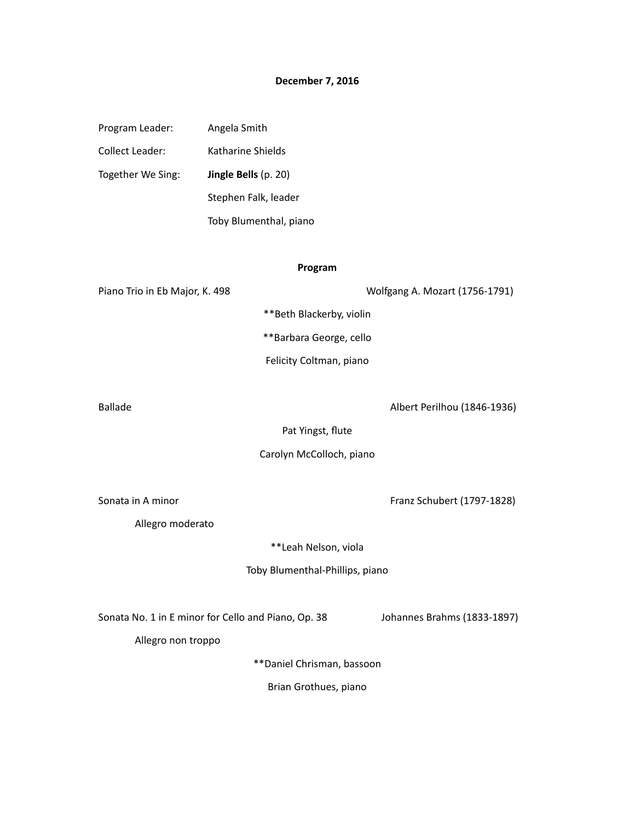# **December 7, 2016**

Program Leader: Angela Smith Collect Leader: Katharine Shields Together We Sing: **Jingle Bells** (p. 20) Stephen Falk, leader Toby Blumenthal, piano

### **Program**

Piano Trio in Eb Major, K. 498 Wolfgang A. Mozart (1756-1791)

\*\*Beth Blackerby, violin

\*\*Barbara George, cello

Felicity Coltman, piano

Ballade **Albert Perilhou** (1846-1936)

Pat Yingst, flute

#### Carolyn McColloch, piano

Sonata in A minor **Franz** Schubert (1797-1828)

Allegro moderato

\*\*Leah Nelson, viola

Toby Blumenthal-Phillips, piano

Sonata No. 1 in E minor for Cello and Piano, Op. 38 Johannes Brahms (1833-1897)

Allegro non troppo

\*\*Daniel Chrisman, bassoon

Brian Grothues, piano